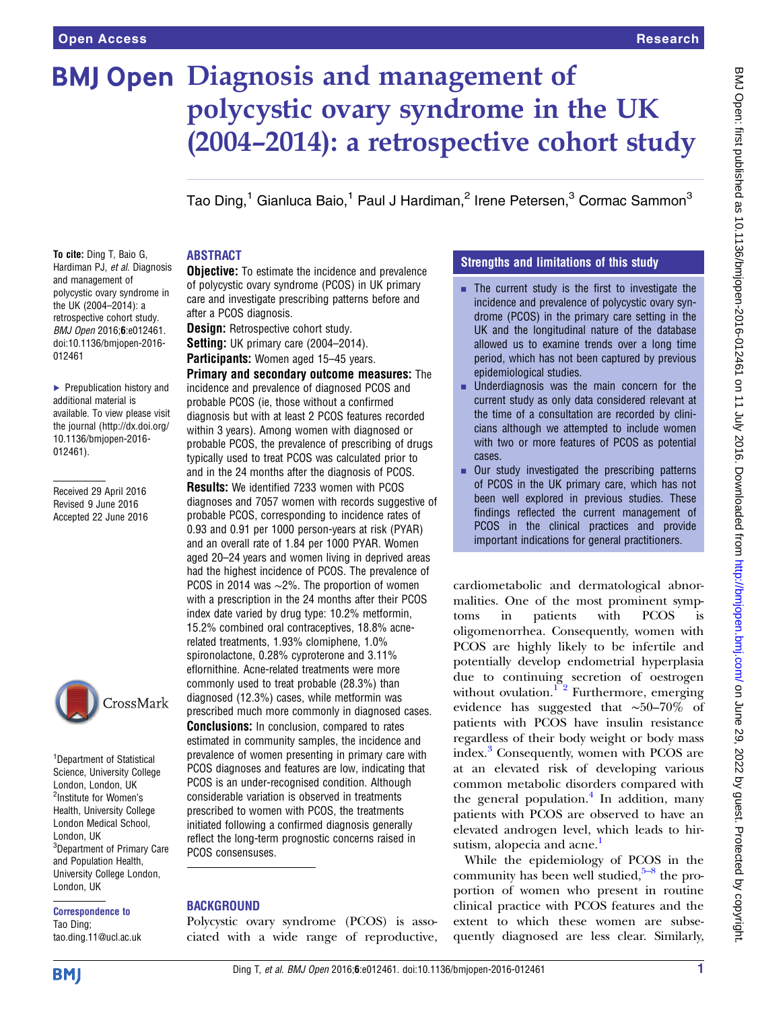# **BMJ Open Diagnosis and management of** polycystic ovary syndrome in the UK (2004–2014): a retrospective cohort study

Tao Ding,<sup>1</sup> Gianluca Baio,<sup>1</sup> Paul J Hardiman,<sup>2</sup> Irene Petersen,<sup>3</sup> Cormac Sammon<sup>3</sup>

#### To cite: Ding T, Baio G, Hardiman PJ, et al. Diagnosis and management of polycystic ovary syndrome in the UK (2004–2014): a retrospective cohort study. BMJ Open 2016;6:e012461. doi:10.1136/bmjopen-2016- 012461

▶ Prepublication history and additional material is available. To view please visit the journal [\(http://dx.doi.org/](http://dx.doi.org/10.1136/bmjopen-2016-012461) [10.1136/bmjopen-2016-](http://dx.doi.org/10.1136/bmjopen-2016-012461) [012461\)](http://dx.doi.org/10.1136/bmjopen-2016-012461).

Received 29 April 2016 Revised 9 June 2016 Accepted 22 June 2016



<sup>1</sup>Department of Statistical Science, University College London, London, UK 2 Institute for Women's Health, University College London Medical School, London, UK <sup>3</sup>Department of Primary Care and Population Health, University College London, London, UK

Correspondence to Tao Ding; tao.ding.11@ucl.ac.uk

# ABSTRACT

**Objective:** To estimate the incidence and prevalence of polycystic ovary syndrome (PCOS) in UK primary care and investigate prescribing patterns before and after a PCOS diagnosis.

**Design:** Retrospective cohort study. Setting: UK primary care (2004–2014). Participants: Women aged 15-45 years.

Primary and secondary outcome measures: The incidence and prevalence of diagnosed PCOS and probable PCOS (ie, those without a confirmed diagnosis but with at least 2 PCOS features recorded within 3 years). Among women with diagnosed or probable PCOS, the prevalence of prescribing of drugs typically used to treat PCOS was calculated prior to and in the 24 months after the diagnosis of PCOS. Results: We identified 7233 women with PCOS diagnoses and 7057 women with records suggestive of probable PCOS, corresponding to incidence rates of 0.93 and 0.91 per 1000 person-years at risk (PYAR) and an overall rate of 1.84 per 1000 PYAR. Women aged 20–24 years and women living in deprived areas had the highest incidence of PCOS. The prevalence of PCOS in 2014 was ∼2%. The proportion of women with a prescription in the 24 months after their PCOS index date varied by drug type: 10.2% metformin, 15.2% combined oral contraceptives, 18.8% acnerelated treatments, 1.93% clomiphene, 1.0% spironolactone, 0.28% cyproterone and 3.11% eflornithine. Acne-related treatments were more commonly used to treat probable (28.3%) than diagnosed (12.3%) cases, while metformin was prescribed much more commonly in diagnosed cases. Conclusions: In conclusion, compared to rates estimated in community samples, the incidence and prevalence of women presenting in primary care with PCOS diagnoses and features are low, indicating that PCOS is an under-recognised condition. Although considerable variation is observed in treatments prescribed to women with PCOS, the treatments initiated following a confirmed diagnosis generally reflect the long-term prognostic concerns raised in PCOS consensuses.

## BACKGROUND

Polycystic ovary syndrome (PCOS) is associated with a wide range of reproductive,

#### Strengths and limitations of this study

- $\blacksquare$  The current study is the first to investigate the incidence and prevalence of polycystic ovary syndrome (PCOS) in the primary care setting in the UK and the longitudinal nature of the database allowed us to examine trends over a long time period, which has not been captured by previous epidemiological studies.
- $\blacksquare$  Underdiagnosis was the main concern for the current study as only data considered relevant at the time of a consultation are recorded by clinicians although we attempted to include women with two or more features of PCOS as potential cases.
- $\blacksquare$  Our study investigated the prescribing patterns of PCOS in the UK primary care, which has not been well explored in previous studies. These findings reflected the current management of PCOS in the clinical practices and provide important indications for general practitioners.

cardiometabolic and dermatological abnormalities. One of the most prominent symptoms in patients with PCOS is oligomenorrhea. Consequently, women with PCOS are highly likely to be infertile and potentially develop endometrial hyperplasia due to continuing secretion of oestrogen without ovulation.<sup>12</sup> Furthermore, emerging evidence has suggested that ∼50–70% of patients with PCOS have insulin resistance regardless of their body weight or body mass index.[3](#page-6-0) Consequently, women with PCOS are at an elevated risk of developing various common metabolic disorders compared with the general population. $<sup>4</sup>$  $<sup>4</sup>$  $<sup>4</sup>$  In addition, many</sup> patients with PCOS are observed to have an elevated androgen level, which leads to hir-sutism, alopecia and acne.<sup>[1](#page-6-0)</sup>

While the epidemiology of PCOS in the community has been well studied, $5-8$  $5-8$  the proportion of women who present in routine clinical practice with PCOS features and the extent to which these women are subsequently diagnosed are less clear. Similarly,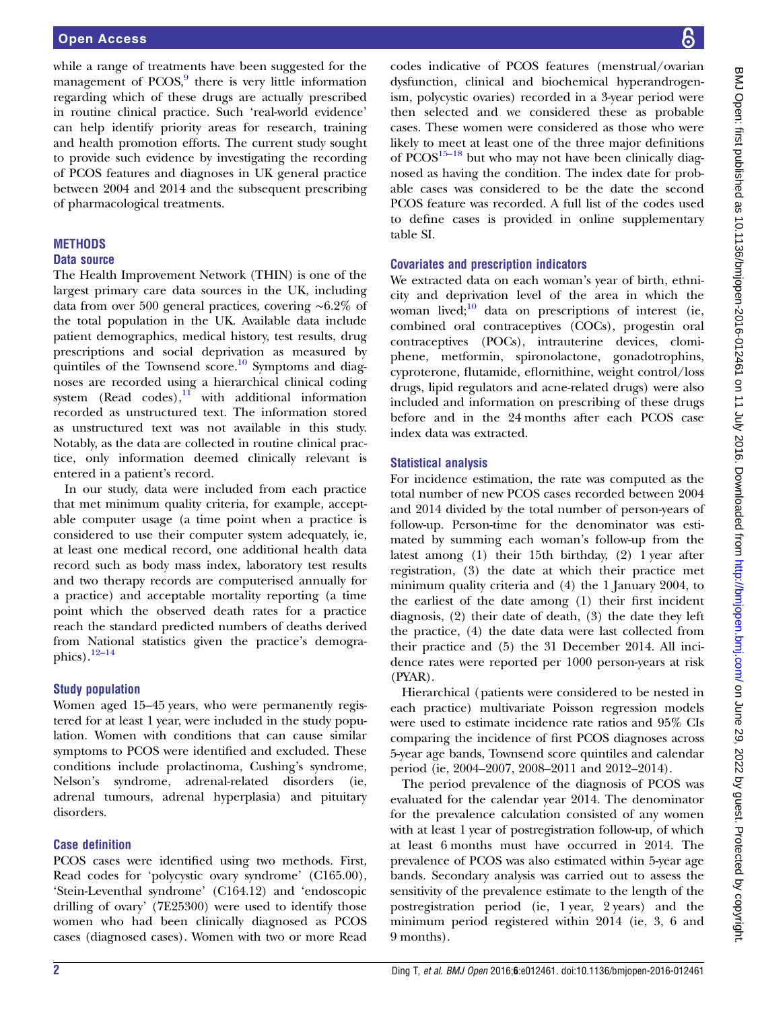while a range of treatments have been suggested for the management of  $PCOS$ , there is very little information regarding which of these drugs are actually prescribed in routine clinical practice. Such 'real-world evidence' can help identify priority areas for research, training and health promotion efforts. The current study sought to provide such evidence by investigating the recording of PCOS features and diagnoses in UK general practice between 2004 and 2014 and the subsequent prescribing of pharmacological treatments.

# **METHODS**

# Data source

The Health Improvement Network (THIN) is one of the largest primary care data sources in the UK, including data from over 500 general practices, covering ∼6.2% of the total population in the UK. Available data include patient demographics, medical history, test results, drug prescriptions and social deprivation as measured by quintiles of the Townsend score.<sup>[10](#page-7-0)</sup> Symptoms and diagnoses are recorded using a hierarchical clinical coding system (Read codes), $\frac{11}{2}$  $\frac{11}{2}$  $\frac{11}{2}$  with additional information recorded as unstructured text. The information stored as unstructured text was not available in this study. Notably, as the data are collected in routine clinical practice, only information deemed clinically relevant is entered in a patient's record.

In our study, data were included from each practice that met minimum quality criteria, for example, acceptable computer usage (a time point when a practice is considered to use their computer system adequately, ie, at least one medical record, one additional health data record such as body mass index, laboratory test results and two therapy records are computerised annually for a practice) and acceptable mortality reporting (a time point which the observed death rates for a practice reach the standard predicted numbers of deaths derived from National statistics given the practice's demographics). $12-14$  $12-14$ 

#### Study population

Women aged 15–45 years, who were permanently registered for at least 1 year, were included in the study population. Women with conditions that can cause similar symptoms to PCOS were identified and excluded. These conditions include prolactinoma, Cushing's syndrome, Nelson's syndrome, adrenal-related disorders (ie, adrenal tumours, adrenal hyperplasia) and pituitary disorders.

#### Case definition

PCOS cases were identified using two methods. First, Read codes for 'polycystic ovary syndrome' (C165.00), 'Stein-Leventhal syndrome' (C164.12) and 'endoscopic drilling of ovary' (7E25300) were used to identify those women who had been clinically diagnosed as PCOS cases (diagnosed cases). Women with two or more Read

codes indicative of PCOS features (menstrual/ovarian dysfunction, clinical and biochemical hyperandrogenism, polycystic ovaries) recorded in a 3-year period were then selected and we considered these as probable cases. These women were considered as those who were likely to meet at least one of the three major definitions of  $\mathrm{PCOS}^{15-18}$  but who may not have been clinically diagnosed as having the condition. The index date for probable cases was considered to be the date the second PCOS feature was recorded. A full list of the codes used to define cases is provided in online supplementary table SI.

#### Covariates and prescription indicators

We extracted data on each woman's year of birth, ethnicity and deprivation level of the area in which the woman lived; $\frac{10}{10}$  $\frac{10}{10}$  $\frac{10}{10}$  data on prescriptions of interest (ie, combined oral contraceptives (COCs), progestin oral contraceptives (POCs), intrauterine devices, clomiphene, metformin, spironolactone, gonadotrophins, cyproterone, flutamide, eflornithine, weight control/loss drugs, lipid regulators and acne-related drugs) were also included and information on prescribing of these drugs before and in the 24 months after each PCOS case index data was extracted.

#### Statistical analysis

For incidence estimation, the rate was computed as the total number of new PCOS cases recorded between 2004 and 2014 divided by the total number of person-years of follow-up. Person-time for the denominator was estimated by summing each woman's follow-up from the latest among (1) their 15th birthday, (2) 1 year after registration, (3) the date at which their practice met minimum quality criteria and (4) the 1 January 2004, to the earliest of the date among (1) their first incident diagnosis, (2) their date of death, (3) the date they left the practice, (4) the date data were last collected from their practice and (5) the 31 December 2014. All incidence rates were reported per 1000 person-years at risk (PYAR).

Hierarchical (patients were considered to be nested in each practice) multivariate Poisson regression models were used to estimate incidence rate ratios and 95% CIs comparing the incidence of first PCOS diagnoses across 5-year age bands, Townsend score quintiles and calendar period (ie, 2004–2007, 2008–2011 and 2012–2014).

The period prevalence of the diagnosis of PCOS was evaluated for the calendar year 2014. The denominator for the prevalence calculation consisted of any women with at least 1 year of postregistration follow-up, of which at least 6 months must have occurred in 2014. The prevalence of PCOS was also estimated within 5-year age bands. Secondary analysis was carried out to assess the sensitivity of the prevalence estimate to the length of the postregistration period (ie, 1 year, 2 years) and the minimum period registered within 2014 (ie, 3, 6 and 9 months).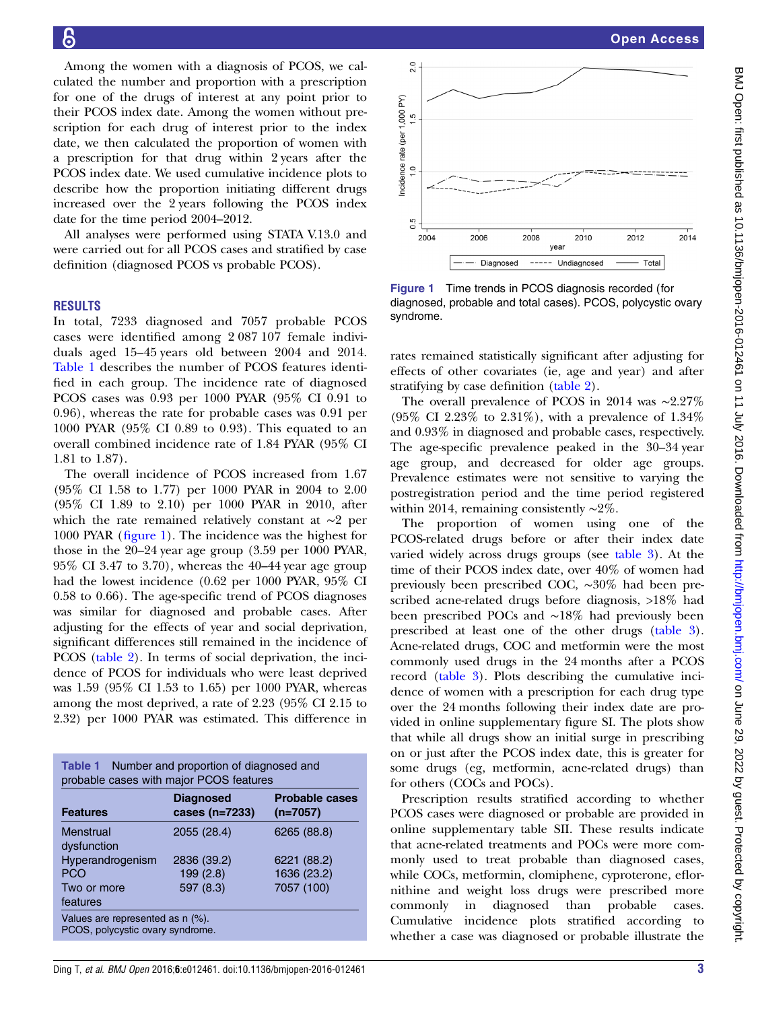Among the women with a diagnosis of PCOS, we calculated the number and proportion with a prescription for one of the drugs of interest at any point prior to their PCOS index date. Among the women without prescription for each drug of interest prior to the index date, we then calculated the proportion of women with a prescription for that drug within 2 years after the PCOS index date. We used cumulative incidence plots to describe how the proportion initiating different drugs increased over the 2 years following the PCOS index date for the time period 2004–2012.

All analyses were performed using STATA V.13.0 and were carried out for all PCOS cases and stratified by case definition (diagnosed PCOS vs probable PCOS).

#### RESULTS

In total, 7233 diagnosed and 7057 probable PCOS cases were identified among 2 087 107 female individuals aged 15–45 years old between 2004 and 2014. Table 1 describes the number of PCOS features identified in each group. The incidence rate of diagnosed PCOS cases was 0.93 per 1000 PYAR (95% CI 0.91 to 0.96), whereas the rate for probable cases was 0.91 per 1000 PYAR (95% CI 0.89 to 0.93). This equated to an overall combined incidence rate of 1.84 PYAR (95% CI 1.81 to 1.87).

The overall incidence of PCOS increased from 1.67 (95% CI 1.58 to 1.77) per 1000 PYAR in 2004 to 2.00 (95% CI 1.89 to 2.10) per 1000 PYAR in 2010, after which the rate remained relatively constant at ∼2 per 1000 PYAR (figure 1). The incidence was the highest for those in the 20–24 year age group (3.59 per 1000 PYAR, 95% CI 3.47 to 3.70), whereas the 40–44 year age group had the lowest incidence (0.62 per 1000 PYAR, 95% CI 0.58 to 0.66). The age-specific trend of PCOS diagnoses was similar for diagnosed and probable cases. After adjusting for the effects of year and social deprivation, significant differences still remained in the incidence of PCOS [\(table 2](#page-3-0)). In terms of social deprivation, the incidence of PCOS for individuals who were least deprived was 1.59 (95% CI 1.53 to 1.65) per 1000 PYAR, whereas among the most deprived, a rate of 2.23 (95% CI 2.15 to 2.32) per 1000 PYAR was estimated. This difference in

| <b>Table 1</b> Number and proportion of diagnosed and<br>probable cases with major PCOS features |                                    |                                     |  |  |  |
|--------------------------------------------------------------------------------------------------|------------------------------------|-------------------------------------|--|--|--|
| <b>Features</b>                                                                                  | <b>Diagnosed</b><br>cases (n=7233) | <b>Probable cases</b><br>$(n=7057)$ |  |  |  |
| Menstrual<br>dysfunction                                                                         | 2055 (28.4)                        | 6265 (88.8)                         |  |  |  |
| Hyperandrogenism                                                                                 | 2836 (39.2)                        | 6221 (88.2)                         |  |  |  |
| <b>PCO</b>                                                                                       | 199(2.8)                           | 1636 (23.2)                         |  |  |  |
| Two or more<br>features                                                                          | 597 (8.3)                          | 7057 (100)                          |  |  |  |
| Values are represented as n (%).<br>PCOS, polycystic ovary syndrome.                             |                                    |                                     |  |  |  |



Open Access

Figure 1 Time trends in PCOS diagnosis recorded (for diagnosed, probable and total cases). PCOS, polycystic ovary syndrome.

rates remained statistically significant after adjusting for effects of other covariates (ie, age and year) and after stratifying by case definition [\(table 2](#page-3-0)).

The overall prevalence of PCOS in 2014 was ∼2.27% (95% CI 2.23% to 2.31%), with a prevalence of 1.34% and 0.93% in diagnosed and probable cases, respectively. The age-specific prevalence peaked in the 30–34 year age group, and decreased for older age groups. Prevalence estimates were not sensitive to varying the postregistration period and the time period registered within 2014, remaining consistently ∼2%.

The proportion of women using one of the PCOS-related drugs before or after their index date varied widely across drugs groups (see [table 3\)](#page-4-0). At the time of their PCOS index date, over 40% of women had previously been prescribed COC, ∼30% had been prescribed acne-related drugs before diagnosis, >18% had been prescribed POCs and ∼18% had previously been prescribed at least one of the other drugs ([table 3\)](#page-4-0). Acne-related drugs, COC and metformin were the most commonly used drugs in the 24 months after a PCOS record ([table 3](#page-4-0)). Plots describing the cumulative incidence of women with a prescription for each drug type over the 24 months following their index date are provided in online supplementary figure SI. The plots show that while all drugs show an initial surge in prescribing on or just after the PCOS index date, this is greater for some drugs (eg, metformin, acne-related drugs) than for others (COCs and POCs).

Prescription results stratified according to whether PCOS cases were diagnosed or probable are provided in online supplementary table SII. These results indicate that acne-related treatments and POCs were more commonly used to treat probable than diagnosed cases, while COCs, metformin, clomiphene, cyproterone, eflornithine and weight loss drugs were prescribed more commonly in diagnosed than probable cases. Cumulative incidence plots stratified according to whether a case was diagnosed or probable illustrate the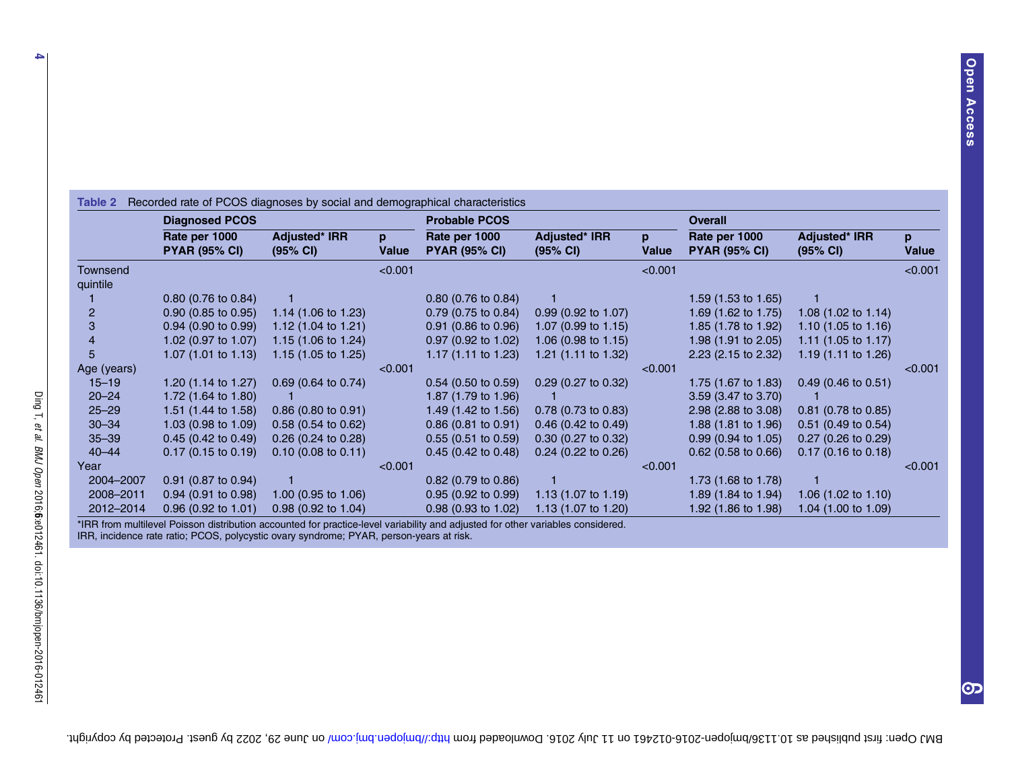|             | <b>Diagnosed PCOS</b>                 |                                            |                              | <b>Probable PCOS</b>                  |                                  |            | <b>Overall</b>                        |                                             |            |
|-------------|---------------------------------------|--------------------------------------------|------------------------------|---------------------------------------|----------------------------------|------------|---------------------------------------|---------------------------------------------|------------|
|             | Rate per 1000<br><b>PYAR (95% CI)</b> | <b>Adjusted* IRR</b><br>$(95% \text{ Cl})$ | $\mathbf{p}$<br><b>Value</b> | Rate per 1000<br><b>PYAR (95% CI)</b> | <b>Adjusted* IRR</b><br>(95% CI) | p<br>Value | Rate per 1000<br><b>PYAR (95% CI)</b> | <b>Adjusted* IRR</b><br>$(95\% \text{ Cl})$ | p<br>Value |
| Townsend    |                                       |                                            | < 0.001                      |                                       |                                  | < 0.001    |                                       |                                             | < 0.001    |
| quintile    |                                       |                                            |                              |                                       |                                  |            |                                       |                                             |            |
|             | $0.80$ (0.76 to 0.84)                 |                                            |                              | $0.80$ (0.76 to 0.84)                 |                                  |            | 1.59 (1.53 to 1.65)                   |                                             |            |
| 2           | $0.90$ (0.85 to 0.95)                 | 1.14 $(1.06 \text{ to } 1.23)$             |                              | $0.79$ (0.75 to 0.84)                 | $0.99$ (0.92 to 1.07)            |            | 1.69 (1.62 to 1.75)                   | 1.08 $(1.02 \text{ to } 1.14)$              |            |
| 3           | $0.94$ (0.90 to 0.99)                 | 1.12 $(1.04 \text{ to } 1.21)$             |                              | 0.91 (0.86 to 0.96)                   | 1.07 (0.99 to 1.15)              |            | 1.85 (1.78 to 1.92)                   | 1.10 $(1.05 \text{ to } 1.16)$              |            |
| 4           | 1.02 (0.97 to 1.07)                   | 1.15 $(1.06 \text{ to } 1.24)$             |                              | $0.97$ (0.92 to 1.02)                 | 1.06 $(0.98 \text{ to } 1.15)$   |            | 1.98 (1.91 to 2.05)                   | 1.11 $(1.05 \text{ to } 1.17)$              |            |
| 5.          | 1.07 $(1.01 \text{ to } 1.13)$        | 1.15 $(1.05 \text{ to } 1.25)$             |                              | 1.17 $(1.11$ to 1.23)                 | 1.21 (1.11 to 1.32)              |            | 2.23 (2.15 to 2.32)                   | 1.19 $(1.11 \text{ to } 1.26)$              |            |
| Age (years) |                                       |                                            | < 0.001                      |                                       |                                  | < 0.001    |                                       |                                             | < 0.001    |
| $15 - 19$   | 1.20 (1.14 to 1.27)                   | $0.69$ (0.64 to 0.74)                      |                              | $0.54$ (0.50 to 0.59)                 | $0.29$ (0.27 to 0.32)            |            | 1.75 (1.67 to 1.83)                   | $0.49$ (0.46 to 0.51)                       |            |
| $20 - 24$   | 1.72 (1.64 to 1.80)                   |                                            |                              | 1.87 (1.79 to 1.96)                   |                                  |            | 3.59 (3.47 to 3.70)                   |                                             |            |
| $25 - 29$   | 1.51 $(1.44 \text{ to } 1.58)$        | 0.86(0.80 to 0.91)                         |                              | 1.49 (1.42 to 1.56)                   | $0.78$ (0.73 to 0.83)            |            | 2.98 (2.88 to 3.08)                   | $0.81$ (0.78 to 0.85)                       |            |
| $30 - 34$   | 1.03 $(0.98 \text{ to } 1.09)$        | $0.58$ (0.54 to 0.62)                      |                              | 0.86(0.81 to 0.91)                    | $0.46$ (0.42 to 0.49)            |            | 1.88 (1.81 to 1.96)                   | $0.51(0.49 \text{ to } 0.54)$               |            |
| $35 - 39$   | $0.45$ (0.42 to 0.49)                 | $0.26$ (0.24 to 0.28)                      |                              | $0.55$ (0.51 to 0.59)                 | $0.30$ (0.27 to 0.32)            |            | $0.99$ (0.94 to 1.05)                 | $0.27(0.26 \text{ to } 0.29)$               |            |
| $40 - 44$   | $0.17$ (0.15 to 0.19)                 | $0.10$ (0.08 to 0.11)                      |                              | $0.45$ (0.42 to 0.48)                 | $0.24$ (0.22 to 0.26)            |            | $0.62$ (0.58 to 0.66)                 | $0.17$ (0.16 to 0.18)                       |            |
| Year        |                                       |                                            | < 0.001                      |                                       |                                  | < 0.001    |                                       |                                             | < 0.001    |
| 2004-2007   | $0.91$ (0.87 to 0.94)                 |                                            |                              | $0.82$ (0.79 to 0.86)                 |                                  |            | 1.73 (1.68 to 1.78)                   |                                             |            |
| 2008-2011   | $0.94$ (0.91 to 0.98)                 | 1.00 $(0.95 \text{ to } 1.06)$             |                              | $0.95$ (0.92 to 0.99)                 | 1.13 $(1.07 \text{ to } 1.19)$   |            | 1.89 (1.84 to 1.94)                   | 1.06 $(1.02 \text{ to } 1.10)$              |            |
| 2012-2014   | $0.96$ (0.92 to 1.01)                 | $0.98$ (0.92 to 1.04)                      |                              | $0.98$ (0.93 to 1.02)                 | 1.13 (1.07 to 1.20)              |            | 1.92 (1.86 to 1.98)                   | 1.04 (1.00 to 1.09)                         |            |

#### <span id="page-3-0"></span>Table 2 Recorded rate of PCOS diagnoses by social and demographical characteristics

\*IRR from multilevel Poisson distribution accounted for practice-level variability and adjusted for other variables considered.

IRR, incidence rate ratio; PCOS, polycystic ovary syndrome; PYAR, person-years at risk.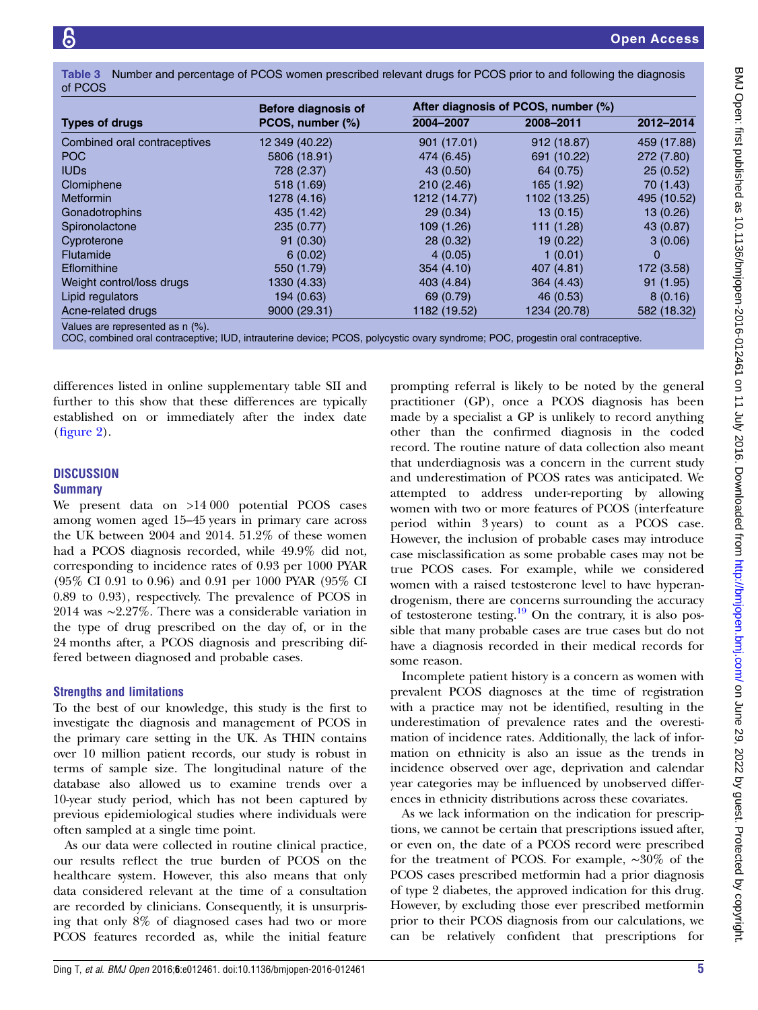<span id="page-4-0"></span>

|         | Table 3 Number and percentage of PCOS women prescribed relevant drugs for PCOS prior to and following the diagnosis |
|---------|---------------------------------------------------------------------------------------------------------------------|
| of PCOS |                                                                                                                     |

|                                  | <b>Before diagnosis of</b> | After diagnosis of PCOS, number (%) |              |             |  |
|----------------------------------|----------------------------|-------------------------------------|--------------|-------------|--|
| <b>Types of drugs</b>            | PCOS, number (%)           | 2004-2007                           | 2008-2011    | 2012-2014   |  |
| Combined oral contraceptives     | 12 349 (40.22)             | 901 (17.01)                         | 912 (18.87)  | 459 (17.88) |  |
| POC                              | 5806 (18.91)               | 474 (6.45)                          | 691 (10.22)  | 272 (7.80)  |  |
| <b>IUDs</b>                      | 728 (2.37)                 | 43 (0.50)                           | 64 (0.75)    | 25(0.52)    |  |
| Clomiphene                       | 518 (1.69)                 | 210(2.46)                           | 165 (1.92)   | 70 (1.43)   |  |
| <b>Metformin</b>                 | 1278 (4.16)                | 1212 (14.77)                        | 1102 (13.25) | 495 (10.52) |  |
| Gonadotrophins                   | 435 (1.42)                 | 29(0.34)                            | 13(0.15)     | 13 (0.26)   |  |
| Spironolactone                   | 235 (0.77)                 | 109 (1.26)                          | 111 (1.28)   | 43 (0.87)   |  |
| Cyproterone                      | 91(0.30)                   | 28(0.32)                            | 19(0.22)     | 3(0.06)     |  |
| <b>Flutamide</b>                 | 6(0.02)                    | 4(0.05)                             | 1(0.01)      | 0           |  |
| Eflornithine                     | 550 (1.79)                 | 354(4.10)                           | 407 (4.81)   | 172 (3.58)  |  |
| Weight control/loss drugs        | 1330 (4.33)                | 403 (4.84)                          | 364 (4.43)   | 91(1.95)    |  |
| Lipid regulators                 | 194 (0.63)                 | 69 (0.79)                           | 46 (0.53)    | 8(0.16)     |  |
| Acne-related drugs               | 9000 (29.31)               | 1182 (19.52)                        | 1234 (20.78) | 582 (18.32) |  |
| Values are represented as n (%). |                            |                                     |              |             |  |

COC, combined oral contraceptive; IUD, intrauterine device; PCOS, polycystic ovary syndrome; POC, progestin oral contraceptive.

differences listed in online supplementary table SII and further to this show that these differences are typically established on or immediately after the index date (fi[gure 2\)](#page-5-0).

# **DISCUSSION**

#### Summary

We present data on >14 000 potential PCOS cases among women aged 15–45 years in primary care across the UK between 2004 and 2014. 51.2% of these women had a PCOS diagnosis recorded, while 49.9% did not, corresponding to incidence rates of 0.93 per 1000 PYAR (95% CI 0.91 to 0.96) and 0.91 per 1000 PYAR (95% CI 0.89 to 0.93), respectively. The prevalence of PCOS in 2014 was ∼2.27%. There was a considerable variation in the type of drug prescribed on the day of, or in the 24 months after, a PCOS diagnosis and prescribing differed between diagnosed and probable cases.

## Strengths and limitations

To the best of our knowledge, this study is the first to investigate the diagnosis and management of PCOS in the primary care setting in the UK. As THIN contains over 10 million patient records, our study is robust in terms of sample size. The longitudinal nature of the database also allowed us to examine trends over a 10-year study period, which has not been captured by previous epidemiological studies where individuals were often sampled at a single time point.

As our data were collected in routine clinical practice, our results reflect the true burden of PCOS on the healthcare system. However, this also means that only data considered relevant at the time of a consultation are recorded by clinicians. Consequently, it is unsurprising that only 8% of diagnosed cases had two or more PCOS features recorded as, while the initial feature

prompting referral is likely to be noted by the general practitioner (GP), once a PCOS diagnosis has been made by a specialist a GP is unlikely to record anything other than the confirmed diagnosis in the coded record. The routine nature of data collection also meant that underdiagnosis was a concern in the current study and underestimation of PCOS rates was anticipated. We attempted to address under-reporting by allowing women with two or more features of PCOS (interfeature period within 3 years) to count as a PCOS case. However, the inclusion of probable cases may introduce case misclassification as some probable cases may not be true PCOS cases. For example, while we considered women with a raised testosterone level to have hyperandrogenism, there are concerns surrounding the accuracy of testosterone testing.<sup>[19](#page-7-0)</sup> On the contrary, it is also possible that many probable cases are true cases but do not have a diagnosis recorded in their medical records for some reason.

Incomplete patient history is a concern as women with prevalent PCOS diagnoses at the time of registration with a practice may not be identified, resulting in the underestimation of prevalence rates and the overestimation of incidence rates. Additionally, the lack of information on ethnicity is also an issue as the trends in incidence observed over age, deprivation and calendar year categories may be influenced by unobserved differences in ethnicity distributions across these covariates.

As we lack information on the indication for prescriptions, we cannot be certain that prescriptions issued after, or even on, the date of a PCOS record were prescribed for the treatment of PCOS. For example, ∼30% of the PCOS cases prescribed metformin had a prior diagnosis of type 2 diabetes, the approved indication for this drug. However, by excluding those ever prescribed metformin prior to their PCOS diagnosis from our calculations, we can be relatively confident that prescriptions for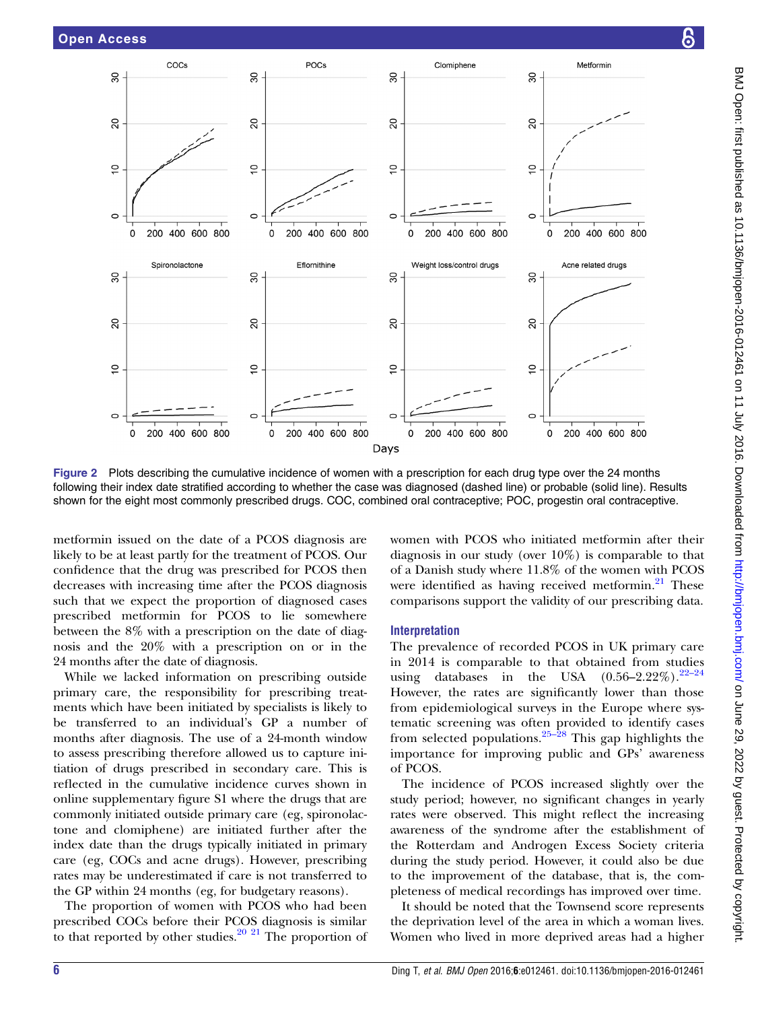<span id="page-5-0"></span>

Figure 2 Plots describing the cumulative incidence of women with a prescription for each drug type over the 24 months following their index date stratified according to whether the case was diagnosed (dashed line) or probable (solid line). Results shown for the eight most commonly prescribed drugs. COC, combined oral contraceptive; POC, progestin oral contraceptive.

metformin issued on the date of a PCOS diagnosis are likely to be at least partly for the treatment of PCOS. Our confidence that the drug was prescribed for PCOS then decreases with increasing time after the PCOS diagnosis such that we expect the proportion of diagnosed cases prescribed metformin for PCOS to lie somewhere between the 8% with a prescription on the date of diagnosis and the 20% with a prescription on or in the 24 months after the date of diagnosis.

While we lacked information on prescribing outside primary care, the responsibility for prescribing treatments which have been initiated by specialists is likely to be transferred to an individual's GP a number of months after diagnosis. The use of a 24-month window to assess prescribing therefore allowed us to capture initiation of drugs prescribed in secondary care. This is reflected in the cumulative incidence curves shown in online supplementary figure S1 where the drugs that are commonly initiated outside primary care (eg, spironolactone and clomiphene) are initiated further after the index date than the drugs typically initiated in primary care (eg, COCs and acne drugs). However, prescribing rates may be underestimated if care is not transferred to the GP within 24 months (eg, for budgetary reasons).

The proportion of women with PCOS who had been prescribed COCs before their PCOS diagnosis is similar to that reported by other studies.<sup>[20 21](#page-7-0)</sup> The proportion of women with PCOS who initiated metformin after their diagnosis in our study (over 10%) is comparable to that of a Danish study where 11.8% of the women with PCOS were identified as having received metformin. $21$  These comparisons support the validity of our prescribing data.

#### Interpretation

The prevalence of recorded PCOS in UK primary care in 2014 is comparable to that obtained from studies using databases in the USA  $(0.56-2.22\%)$  $(0.56-2.22\%)$  $(0.56-2.22\%)$ .  $22-24$ However, the rates are significantly lower than those from epidemiological surveys in the Europe where systematic screening was often provided to identify cases from selected populations.<sup>[25](#page-7-0)–28</sup> This gap highlights the importance for improving public and GPs' awareness of PCOS.

The incidence of PCOS increased slightly over the study period; however, no significant changes in yearly rates were observed. This might reflect the increasing awareness of the syndrome after the establishment of the Rotterdam and Androgen Excess Society criteria during the study period. However, it could also be due to the improvement of the database, that is, the completeness of medical recordings has improved over time.

It should be noted that the Townsend score represents the deprivation level of the area in which a woman lives. Women who lived in more deprived areas had a higher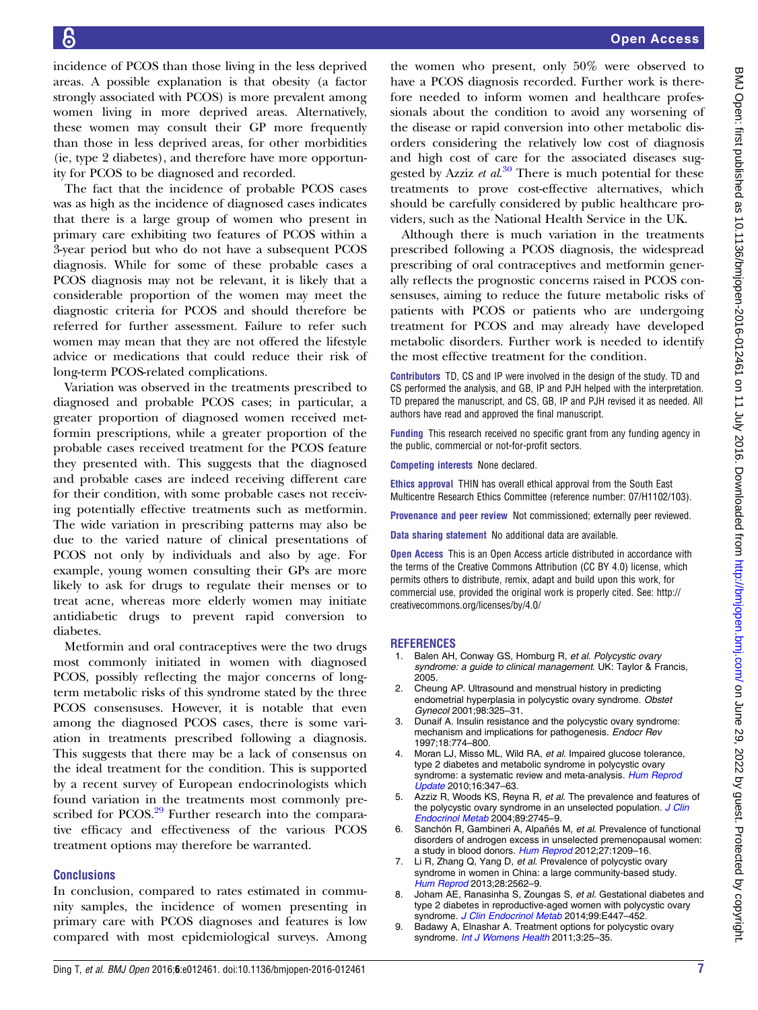<span id="page-6-0"></span>incidence of PCOS than those living in the less deprived areas. A possible explanation is that obesity (a factor strongly associated with PCOS) is more prevalent among women living in more deprived areas. Alternatively, these women may consult their GP more frequently

The fact that the incidence of probable PCOS cases was as high as the incidence of diagnosed cases indicates that there is a large group of women who present in primary care exhibiting two features of PCOS within a 3-year period but who do not have a subsequent PCOS diagnosis. While for some of these probable cases a PCOS diagnosis may not be relevant, it is likely that a considerable proportion of the women may meet the diagnostic criteria for PCOS and should therefore be referred for further assessment. Failure to refer such women may mean that they are not offered the lifestyle advice or medications that could reduce their risk of long-term PCOS-related complications.

than those in less deprived areas, for other morbidities (ie, type 2 diabetes), and therefore have more opportun-

ity for PCOS to be diagnosed and recorded.

Variation was observed in the treatments prescribed to diagnosed and probable PCOS cases; in particular, a greater proportion of diagnosed women received metformin prescriptions, while a greater proportion of the probable cases received treatment for the PCOS feature they presented with. This suggests that the diagnosed and probable cases are indeed receiving different care for their condition, with some probable cases not receiving potentially effective treatments such as metformin. The wide variation in prescribing patterns may also be due to the varied nature of clinical presentations of PCOS not only by individuals and also by age. For example, young women consulting their GPs are more likely to ask for drugs to regulate their menses or to treat acne, whereas more elderly women may initiate antidiabetic drugs to prevent rapid conversion to diabetes.

Metformin and oral contraceptives were the two drugs most commonly initiated in women with diagnosed PCOS, possibly reflecting the major concerns of longterm metabolic risks of this syndrome stated by the three PCOS consensuses. However, it is notable that even among the diagnosed PCOS cases, there is some variation in treatments prescribed following a diagnosis. This suggests that there may be a lack of consensus on the ideal treatment for the condition. This is supported by a recent survey of European endocrinologists which found variation in the treatments most commonly prescribed for PCOS. $^{29}$  $^{29}$  $^{29}$  Further research into the comparative efficacy and effectiveness of the various PCOS treatment options may therefore be warranted.

#### **Conclusions**

In conclusion, compared to rates estimated in community samples, the incidence of women presenting in primary care with PCOS diagnoses and features is low compared with most epidemiological surveys. Among

the women who present, only 50% were observed to have a PCOS diagnosis recorded. Further work is therefore needed to inform women and healthcare professionals about the condition to avoid any worsening of the disease or rapid conversion into other metabolic disorders considering the relatively low cost of diagnosis and high cost of care for the associated diseases suggested by Azziz et  $al^{30}$  $al^{30}$  $al^{30}$  There is much potential for these treatments to prove cost-effective alternatives, which should be carefully considered by public healthcare providers, such as the National Health Service in the UK.

Although there is much variation in the treatments prescribed following a PCOS diagnosis, the widespread prescribing of oral contraceptives and metformin generally reflects the prognostic concerns raised in PCOS consensuses, aiming to reduce the future metabolic risks of patients with PCOS or patients who are undergoing treatment for PCOS and may already have developed metabolic disorders. Further work is needed to identify the most effective treatment for the condition.

Contributors TD, CS and IP were involved in the design of the study. TD and CS performed the analysis, and GB, IP and PJH helped with the interpretation. TD prepared the manuscript, and CS, GB, IP and PJH revised it as needed. All authors have read and approved the final manuscript.

Funding This research received no specific grant from any funding agency in the public, commercial or not-for-profit sectors.

Competing interests None declared.

Ethics approval THIN has overall ethical approval from the South East Multicentre Research Ethics Committee (reference number: 07/H1102/103).

Provenance and peer review Not commissioned; externally peer reviewed.

Data sharing statement No additional data are available.

**Open Access** This is an Open Access article distributed in accordance with the terms of the Creative Commons Attribution (CC BY 4.0) license, which permits others to distribute, remix, adapt and build upon this work, for commercial use, provided the original work is properly cited. See: [http://](http://creativecommons.org/licenses/by/4.0/) [creativecommons.org/licenses/by/4.0/](http://creativecommons.org/licenses/by/4.0/)

#### **REFERENCES**

- 1. Balen AH, Conway GS, Homburg R, et al. Polycystic ovary syndrome: a guide to clinical management. UK: Taylor & Francis, 2005.
- 2. Cheung AP. Ultrasound and menstrual history in predicting endometrial hyperplasia in polycystic ovary syndrome. Obstet Gynecol 2001;98:325–31.
- 3. Dunaif A. Insulin resistance and the polycystic ovary syndrome: mechanism and implications for pathogenesis. Endocr Rev 1997;18:774–800.
- 4. Moran LJ, Misso ML, Wild RA, et al. Impaired glucose tolerance, type 2 diabetes and metabolic syndrome in polycystic ovary syndrome: a systematic review and meta-analysis. [Hum Reprod](http://dx.doi.org/10.1093/humupd/dmq001) [Update](http://dx.doi.org/10.1093/humupd/dmq001) 2010;16:347–63.
- 5. Azziz R, Woods KS, Reyna R, et al. The prevalence and features of the polycystic ovary syndrome in an unselected population. [J Clin](http://dx.doi.org/10.1210/jc.2003-032046) [Endocrinol Metab](http://dx.doi.org/10.1210/jc.2003-032046) 2004;89:2745–9.
- 6. Sanchón R, Gambineri A, Alpañés M, et al. Prevalence of functional disorders of androgen excess in unselected premenopausal women: a study in blood donors. [Hum Reprod](http://dx.doi.org/10.1093/humrep/des028) 2012;27:1209–16.
- 7. Li R, Zhang Q, Yang D, et al. Prevalence of polycystic ovary syndrome in women in China: a large community-based study. [Hum Reprod](http://dx.doi.org/10.1093/humrep/det262) 2013;28:2562–9.
- 8. Joham AE, Ranasinha S, Zoungas S, et al. Gestational diabetes and type 2 diabetes in reproductive-aged women with polycystic ovary syndrome. [J Clin Endocrinol Metab](http://dx.doi.org/10.1210/jc.2013-2007) 2014;99:E447-452
- 9. Badawy A, Elnashar A. Treatment options for polycystic ovary syndrome. [Int J Womens Health](http://dx.doi.org/10.2147/IJWH.S11304) 2011;3:25-35.